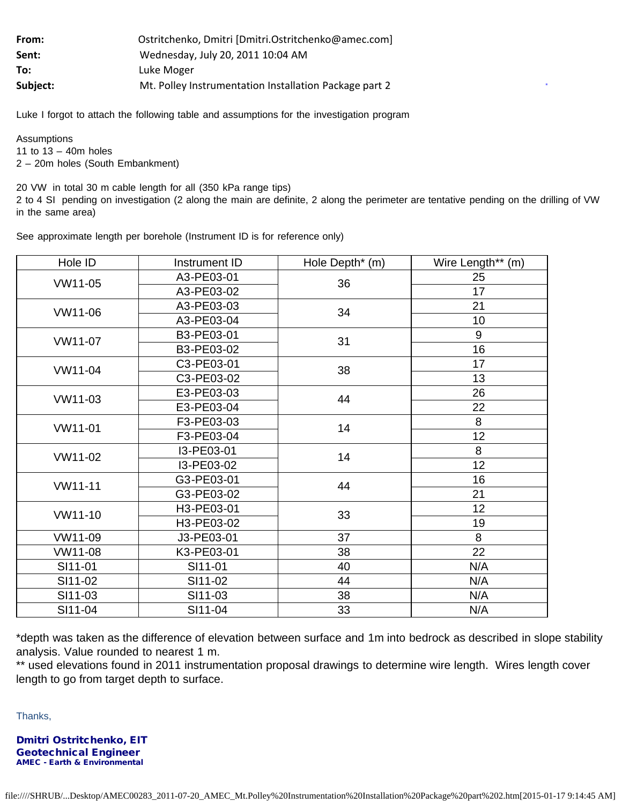| From:    | Ostritchenko, Dmitri [Dmitri.Ostritchenko@amec.com]    |  |  |
|----------|--------------------------------------------------------|--|--|
| Sent:    | Wednesday, July 20, 2011 10:04 AM                      |  |  |
| To:      | Luke Moger                                             |  |  |
| Subject: | Mt. Polley Instrumentation Installation Package part 2 |  |  |

Luke I forgot to attach the following table and assumptions for the investigation program

**Assumptions** 11 to 13 – 40m holes 2 – 20m holes (South Embankment)

20 VW in total 30 m cable length for all (350 kPa range tips) 2 to 4 SI pending on investigation (2 along the main are definite, 2 along the perimeter are tentative pending on the drilling of VW in the same area)

**.**

| Hole ID | Instrument ID | Hole Depth <sup>*</sup> (m) | Wire Length** (m) |
|---------|---------------|-----------------------------|-------------------|
| VW11-05 | A3-PE03-01    | 36                          | 25                |
|         | A3-PE03-02    |                             | 17                |
| VW11-06 | A3-PE03-03    | 34                          | 21                |
|         | A3-PE03-04    |                             | 10                |
| VW11-07 | B3-PE03-01    | 31                          | 9                 |
|         | B3-PE03-02    |                             | 16                |
| VW11-04 | C3-PE03-01    | 38                          | 17                |
|         | C3-PE03-02    |                             | 13                |
| VW11-03 | E3-PE03-03    | 44                          | 26                |
|         | E3-PE03-04    |                             | 22                |
| VW11-01 | F3-PE03-03    | 14                          | 8                 |
|         | F3-PE03-04    |                             | 12                |
| VW11-02 | I3-PE03-01    | 14                          | 8                 |
|         | I3-PE03-02    |                             | 12                |
| VW11-11 | G3-PE03-01    | 44                          | 16                |
|         | G3-PE03-02    |                             | 21                |
| VW11-10 | H3-PE03-01    | 33                          | 12                |
|         | H3-PE03-02    |                             | 19                |
| VW11-09 | J3-PE03-01    | 37                          | 8                 |
| VW11-08 | K3-PE03-01    | 38                          | 22                |
| SI11-01 | SI11-01       | 40                          | N/A               |
| SI11-02 | SI11-02       | 44                          | N/A               |
| SI11-03 | SI11-03       | 38                          | N/A               |
| SI11-04 | SI11-04       | 33                          | N/A               |

See approximate length per borehole (Instrument ID is for reference only)

\*depth was taken as the difference of elevation between surface and 1m into bedrock as described in slope stability analysis. Value rounded to nearest 1 m.

\*\* used elevations found in 2011 instrumentation proposal drawings to determine wire length. Wires length cover length to go from target depth to surface.

Thanks,

Dmitri Ostritchenko, EIT Geotechnical Engineer AMEC - Earth & Environmental